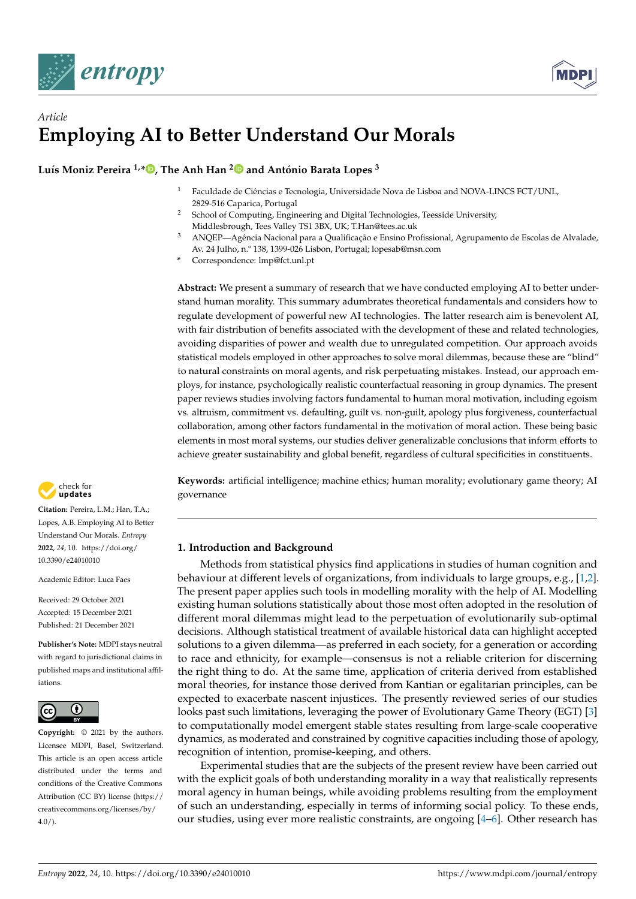



# *Article* **Employing AI to Better Understand Our Morals**

**Luís Moniz Pereira 1,[\\*](https://orcid.org/0000-0001-7880-4322) , The Anh Han [2](https://orcid.org/0000-0002-3095-7714) and António Barata Lopes <sup>3</sup>**

- <sup>1</sup> Faculdade de Ciências e Tecnologia, Universidade Nova de Lisboa and NOVA-LINCS FCT/UNL, 2829-516 Caparica, Portugal
- <sup>2</sup> School of Computing, Engineering and Digital Technologies, Teesside University, Middlesbrough, Tees Valley TS1 3BX, UK; T.Han@tees.ac.uk
- <sup>3</sup> ANQEP—Agência Nacional para a Qualificação e Ensino Profissional, Agrupamento de Escolas de Alvalade, Av. 24 Julho, n.º 138, 1399-026 Lisbon, Portugal; lopesab@msn.com
- **\*** Correspondence: lmp@fct.unl.pt

**Abstract:** We present a summary of research that we have conducted employing AI to better understand human morality. This summary adumbrates theoretical fundamentals and considers how to regulate development of powerful new AI technologies. The latter research aim is benevolent AI, with fair distribution of benefits associated with the development of these and related technologies, avoiding disparities of power and wealth due to unregulated competition. Our approach avoids statistical models employed in other approaches to solve moral dilemmas, because these are "blind" to natural constraints on moral agents, and risk perpetuating mistakes. Instead, our approach employs, for instance, psychologically realistic counterfactual reasoning in group dynamics. The present paper reviews studies involving factors fundamental to human moral motivation, including egoism vs. altruism, commitment vs. defaulting, guilt vs. non-guilt, apology plus forgiveness, counterfactual collaboration, among other factors fundamental in the motivation of moral action. These being basic elements in most moral systems, our studies deliver generalizable conclusions that inform efforts to achieve greater sustainability and global benefit, regardless of cultural specificities in constituents.

**Keywords:** artificial intelligence; machine ethics; human morality; evolutionary game theory; AI governance

## **1. Introduction and Background**

Methods from statistical physics find applications in studies of human cognition and behaviour at different levels of organizations, from individuals to large groups, e.g., [\[1,](#page-16-0)[2\]](#page-16-1). The present paper applies such tools in modelling morality with the help of AI. Modelling existing human solutions statistically about those most often adopted in the resolution of different moral dilemmas might lead to the perpetuation of evolutionarily sub-optimal decisions. Although statistical treatment of available historical data can highlight accepted solutions to a given dilemma—as preferred in each society, for a generation or according to race and ethnicity, for example—consensus is not a reliable criterion for discerning the right thing to do. At the same time, application of criteria derived from established moral theories, for instance those derived from Kantian or egalitarian principles, can be expected to exacerbate nascent injustices. The presently reviewed series of our studies looks past such limitations, leveraging the power of Evolutionary Game Theory (EGT) [\[3\]](#page-16-2) to computationally model emergent stable states resulting from large-scale cooperative dynamics, as moderated and constrained by cognitive capacities including those of apology, recognition of intention, promise-keeping, and others.

Experimental studies that are the subjects of the present review have been carried out with the explicit goals of both understanding morality in a way that realistically represents moral agency in human beings, while avoiding problems resulting from the employment of such an understanding, especially in terms of informing social policy. To these ends, our studies, using ever more realistic constraints, are ongoing [\[4](#page-16-3)[–6\]](#page-17-0). Other research has



**Citation:** Pereira, L.M.; Han, T.A.; Lopes, A.B. Employing AI to Better Understand Our Morals. *Entropy* **2022**, *24*, 10. [https://doi.org/](https://doi.org/10.3390/e24010010) [10.3390/e24010010](https://doi.org/10.3390/e24010010)

Academic Editor: Luca Faes

Received: 29 October 2021 Accepted: 15 December 2021 Published: 21 December 2021

**Publisher's Note:** MDPI stays neutral with regard to jurisdictional claims in published maps and institutional affiliations.



**Copyright:** © 2021 by the authors. Licensee MDPI, Basel, Switzerland. This article is an open access article distributed under the terms and conditions of the Creative Commons Attribution (CC BY) license [\(https://](https://creativecommons.org/licenses/by/4.0/) [creativecommons.org/licenses/by/](https://creativecommons.org/licenses/by/4.0/)  $4.0/$ ).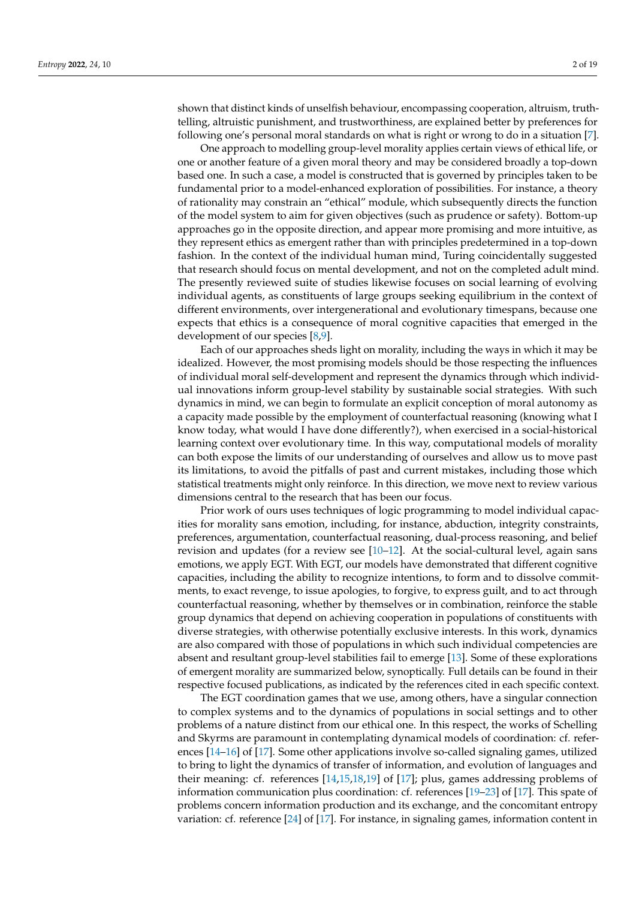shown that distinct kinds of unselfish behaviour, encompassing cooperation, altruism, truthtelling, altruistic punishment, and trustworthiness, are explained better by preferences for following one's personal moral standards on what is right or wrong to do in a situation [\[7\]](#page-17-1).

One approach to modelling group-level morality applies certain views of ethical life, or one or another feature of a given moral theory and may be considered broadly a top-down based one. In such a case, a model is constructed that is governed by principles taken to be fundamental prior to a model-enhanced exploration of possibilities. For instance, a theory of rationality may constrain an "ethical" module, which subsequently directs the function of the model system to aim for given objectives (such as prudence or safety). Bottom-up approaches go in the opposite direction, and appear more promising and more intuitive, as they represent ethics as emergent rather than with principles predetermined in a top-down fashion. In the context of the individual human mind, Turing coincidentally suggested that research should focus on mental development, and not on the completed adult mind. The presently reviewed suite of studies likewise focuses on social learning of evolving individual agents, as constituents of large groups seeking equilibrium in the context of different environments, over intergenerational and evolutionary timespans, because one expects that ethics is a consequence of moral cognitive capacities that emerged in the development of our species [\[8](#page-17-2)[,9\]](#page-17-3).

Each of our approaches sheds light on morality, including the ways in which it may be idealized. However, the most promising models should be those respecting the influences of individual moral self-development and represent the dynamics through which individual innovations inform group-level stability by sustainable social strategies. With such dynamics in mind, we can begin to formulate an explicit conception of moral autonomy as a capacity made possible by the employment of counterfactual reasoning (knowing what I know today, what would I have done differently?), when exercised in a social-historical learning context over evolutionary time. In this way, computational models of morality can both expose the limits of our understanding of ourselves and allow us to move past its limitations, to avoid the pitfalls of past and current mistakes, including those which statistical treatments might only reinforce. In this direction, we move next to review various dimensions central to the research that has been our focus.

Prior work of ours uses techniques of logic programming to model individual capacities for morality sans emotion, including, for instance, abduction, integrity constraints, preferences, argumentation, counterfactual reasoning, dual-process reasoning, and belief revision and updates (for a review see  $[10-12]$  $[10-12]$ . At the social-cultural level, again sans emotions, we apply EGT. With EGT, our models have demonstrated that different cognitive capacities, including the ability to recognize intentions, to form and to dissolve commitments, to exact revenge, to issue apologies, to forgive, to express guilt, and to act through counterfactual reasoning, whether by themselves or in combination, reinforce the stable group dynamics that depend on achieving cooperation in populations of constituents with diverse strategies, with otherwise potentially exclusive interests. In this work, dynamics are also compared with those of populations in which such individual competencies are absent and resultant group-level stabilities fail to emerge [\[13\]](#page-17-6). Some of these explorations of emergent morality are summarized below, synoptically. Full details can be found in their respective focused publications, as indicated by the references cited in each specific context.

The EGT coordination games that we use, among others, have a singular connection to complex systems and to the dynamics of populations in social settings and to other problems of a nature distinct from our ethical one. In this respect, the works of Schelling and Skyrms are paramount in contemplating dynamical models of coordination: cf. references [\[14](#page-17-7)[–16\]](#page-17-8) of [\[17\]](#page-17-9). Some other applications involve so-called signaling games, utilized to bring to light the dynamics of transfer of information, and evolution of languages and their meaning: cf. references [\[14,](#page-17-7)[15,](#page-17-10)[18,](#page-17-11)[19\]](#page-17-12) of [\[17\]](#page-17-9); plus, games addressing problems of information communication plus coordination: cf. references [\[19](#page-17-12)[–23\]](#page-17-13) of [\[17\]](#page-17-9). This spate of problems concern information production and its exchange, and the concomitant entropy variation: cf. reference [\[24\]](#page-17-14) of [\[17\]](#page-17-9). For instance, in signaling games, information content in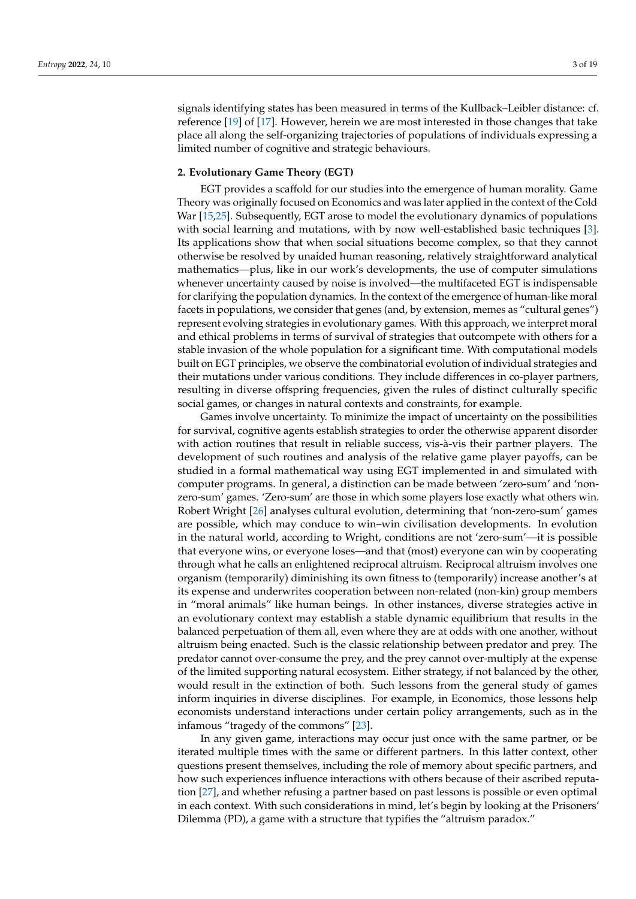signals identifying states has been measured in terms of the Kullback–Leibler distance: cf. reference [\[19\]](#page-17-12) of [\[17\]](#page-17-9). However, herein we are most interested in those changes that take place all along the self-organizing trajectories of populations of individuals expressing a limited number of cognitive and strategic behaviours.

#### **2. Evolutionary Game Theory (EGT)**

EGT provides a scaffold for our studies into the emergence of human morality. Game Theory was originally focused on Economics and was later applied in the context of the Cold War [\[15,](#page-17-10)[25\]](#page-17-15). Subsequently, EGT arose to model the evolutionary dynamics of populations with social learning and mutations, with by now well-established basic techniques [\[3\]](#page-16-2). Its applications show that when social situations become complex, so that they cannot otherwise be resolved by unaided human reasoning, relatively straightforward analytical mathematics—plus, like in our work's developments, the use of computer simulations whenever uncertainty caused by noise is involved—the multifaceted EGT is indispensable for clarifying the population dynamics. In the context of the emergence of human-like moral facets in populations, we consider that genes (and, by extension, memes as "cultural genes") represent evolving strategies in evolutionary games. With this approach, we interpret moral and ethical problems in terms of survival of strategies that outcompete with others for a stable invasion of the whole population for a significant time. With computational models built on EGT principles, we observe the combinatorial evolution of individual strategies and their mutations under various conditions. They include differences in co-player partners, resulting in diverse offspring frequencies, given the rules of distinct culturally specific social games, or changes in natural contexts and constraints, for example.

Games involve uncertainty. To minimize the impact of uncertainty on the possibilities for survival, cognitive agents establish strategies to order the otherwise apparent disorder with action routines that result in reliable success, vis-à-vis their partner players. The development of such routines and analysis of the relative game player payoffs, can be studied in a formal mathematical way using EGT implemented in and simulated with computer programs. In general, a distinction can be made between 'zero-sum' and 'nonzero-sum' games. 'Zero-sum' are those in which some players lose exactly what others win. Robert Wright [\[26\]](#page-17-16) analyses cultural evolution, determining that 'non-zero-sum' games are possible, which may conduce to win–win civilisation developments. In evolution in the natural world, according to Wright, conditions are not 'zero-sum'—it is possible that everyone wins, or everyone loses—and that (most) everyone can win by cooperating through what he calls an enlightened reciprocal altruism. Reciprocal altruism involves one organism (temporarily) diminishing its own fitness to (temporarily) increase another's at its expense and underwrites cooperation between non-related (non-kin) group members in "moral animals" like human beings. In other instances, diverse strategies active in an evolutionary context may establish a stable dynamic equilibrium that results in the balanced perpetuation of them all, even where they are at odds with one another, without altruism being enacted. Such is the classic relationship between predator and prey. The predator cannot over-consume the prey, and the prey cannot over-multiply at the expense of the limited supporting natural ecosystem. Either strategy, if not balanced by the other, would result in the extinction of both. Such lessons from the general study of games inform inquiries in diverse disciplines. For example, in Economics, those lessons help economists understand interactions under certain policy arrangements, such as in the infamous "tragedy of the commons" [\[23\]](#page-17-13).

In any given game, interactions may occur just once with the same partner, or be iterated multiple times with the same or different partners. In this latter context, other questions present themselves, including the role of memory about specific partners, and how such experiences influence interactions with others because of their ascribed reputation [\[27\]](#page-17-17), and whether refusing a partner based on past lessons is possible or even optimal in each context. With such considerations in mind, let's begin by looking at the Prisoners' Dilemma (PD), a game with a structure that typifies the "altruism paradox."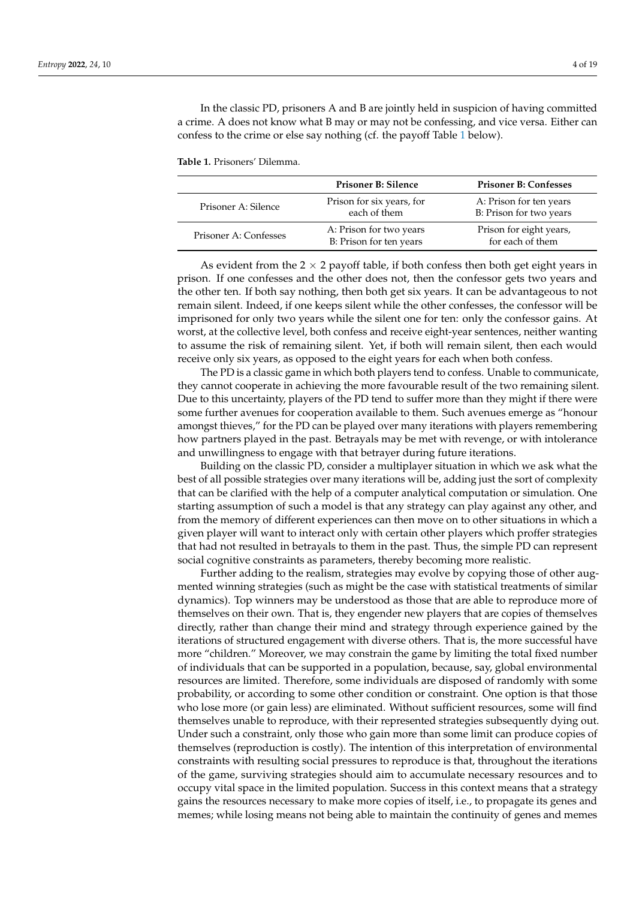In the classic PD, prisoners A and B are jointly held in suspicion of having committed a crime. A does not know what B may or may not be confessing, and vice versa. Either can confess to the crime or else say nothing (cf. the payoff Table [1](#page-3-0) below).

<span id="page-3-0"></span>**Table 1.** Prisoners' Dilemma.

|                       | <b>Prisoner B: Silence</b>                         | <b>Prisoner B: Confesses</b>                       |
|-----------------------|----------------------------------------------------|----------------------------------------------------|
| Prisoner A: Silence   | Prison for six years, for<br>each of them          | A: Prison for ten years<br>B: Prison for two years |
| Prisoner A: Confesses | A: Prison for two years<br>B: Prison for ten years | Prison for eight years,<br>for each of them        |

As evident from the  $2 \times 2$  payoff table, if both confess then both get eight years in prison. If one confesses and the other does not, then the confessor gets two years and the other ten. If both say nothing, then both get six years. It can be advantageous to not remain silent. Indeed, if one keeps silent while the other confesses, the confessor will be imprisoned for only two years while the silent one for ten: only the confessor gains. At worst, at the collective level, both confess and receive eight-year sentences, neither wanting to assume the risk of remaining silent. Yet, if both will remain silent, then each would receive only six years, as opposed to the eight years for each when both confess.

The PD is a classic game in which both players tend to confess. Unable to communicate, they cannot cooperate in achieving the more favourable result of the two remaining silent. Due to this uncertainty, players of the PD tend to suffer more than they might if there were some further avenues for cooperation available to them. Such avenues emerge as "honour amongst thieves," for the PD can be played over many iterations with players remembering how partners played in the past. Betrayals may be met with revenge, or with intolerance and unwillingness to engage with that betrayer during future iterations.

Building on the classic PD, consider a multiplayer situation in which we ask what the best of all possible strategies over many iterations will be, adding just the sort of complexity that can be clarified with the help of a computer analytical computation or simulation. One starting assumption of such a model is that any strategy can play against any other, and from the memory of different experiences can then move on to other situations in which a given player will want to interact only with certain other players which proffer strategies that had not resulted in betrayals to them in the past. Thus, the simple PD can represent social cognitive constraints as parameters, thereby becoming more realistic.

Further adding to the realism, strategies may evolve by copying those of other augmented winning strategies (such as might be the case with statistical treatments of similar dynamics). Top winners may be understood as those that are able to reproduce more of themselves on their own. That is, they engender new players that are copies of themselves directly, rather than change their mind and strategy through experience gained by the iterations of structured engagement with diverse others. That is, the more successful have more "children." Moreover, we may constrain the game by limiting the total fixed number of individuals that can be supported in a population, because, say, global environmental resources are limited. Therefore, some individuals are disposed of randomly with some probability, or according to some other condition or constraint. One option is that those who lose more (or gain less) are eliminated. Without sufficient resources, some will find themselves unable to reproduce, with their represented strategies subsequently dying out. Under such a constraint, only those who gain more than some limit can produce copies of themselves (reproduction is costly). The intention of this interpretation of environmental constraints with resulting social pressures to reproduce is that, throughout the iterations of the game, surviving strategies should aim to accumulate necessary resources and to occupy vital space in the limited population. Success in this context means that a strategy gains the resources necessary to make more copies of itself, i.e., to propagate its genes and memes; while losing means not being able to maintain the continuity of genes and memes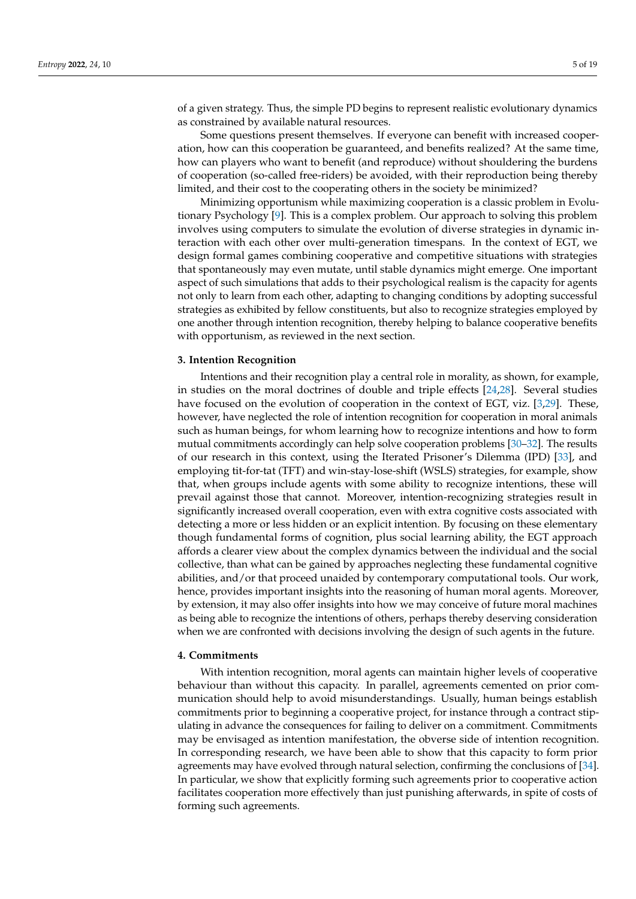of a given strategy. Thus, the simple PD begins to represent realistic evolutionary dynamics as constrained by available natural resources.

Some questions present themselves. If everyone can benefit with increased cooperation, how can this cooperation be guaranteed, and benefits realized? At the same time, how can players who want to benefit (and reproduce) without shouldering the burdens of cooperation (so-called free-riders) be avoided, with their reproduction being thereby limited, and their cost to the cooperating others in the society be minimized?

Minimizing opportunism while maximizing cooperation is a classic problem in Evolutionary Psychology [\[9\]](#page-17-3). This is a complex problem. Our approach to solving this problem involves using computers to simulate the evolution of diverse strategies in dynamic interaction with each other over multi-generation timespans. In the context of EGT, we design formal games combining cooperative and competitive situations with strategies that spontaneously may even mutate, until stable dynamics might emerge. One important aspect of such simulations that adds to their psychological realism is the capacity for agents not only to learn from each other, adapting to changing conditions by adopting successful strategies as exhibited by fellow constituents, but also to recognize strategies employed by one another through intention recognition, thereby helping to balance cooperative benefits with opportunism, as reviewed in the next section.

#### **3. Intention Recognition**

Intentions and their recognition play a central role in morality, as shown, for example, in studies on the moral doctrines of double and triple effects [\[24](#page-17-14)[,28\]](#page-17-18). Several studies have focused on the evolution of cooperation in the context of EGT, viz. [\[3](#page-16-2)[,29\]](#page-17-19). These, however, have neglected the role of intention recognition for cooperation in moral animals such as human beings, for whom learning how to recognize intentions and how to form mutual commitments accordingly can help solve cooperation problems [\[30](#page-17-20)[–32\]](#page-17-21). The results of our research in this context, using the Iterated Prisoner's Dilemma (IPD) [\[33\]](#page-17-22), and employing tit-for-tat (TFT) and win-stay-lose-shift (WSLS) strategies, for example, show that, when groups include agents with some ability to recognize intentions, these will prevail against those that cannot. Moreover, intention-recognizing strategies result in significantly increased overall cooperation, even with extra cognitive costs associated with detecting a more or less hidden or an explicit intention. By focusing on these elementary though fundamental forms of cognition, plus social learning ability, the EGT approach affords a clearer view about the complex dynamics between the individual and the social collective, than what can be gained by approaches neglecting these fundamental cognitive abilities, and/or that proceed unaided by contemporary computational tools. Our work, hence, provides important insights into the reasoning of human moral agents. Moreover, by extension, it may also offer insights into how we may conceive of future moral machines as being able to recognize the intentions of others, perhaps thereby deserving consideration when we are confronted with decisions involving the design of such agents in the future.

#### **4. Commitments**

With intention recognition, moral agents can maintain higher levels of cooperative behaviour than without this capacity. In parallel, agreements cemented on prior communication should help to avoid misunderstandings. Usually, human beings establish commitments prior to beginning a cooperative project, for instance through a contract stipulating in advance the consequences for failing to deliver on a commitment. Commitments may be envisaged as intention manifestation, the obverse side of intention recognition. In corresponding research, we have been able to show that this capacity to form prior agreements may have evolved through natural selection, confirming the conclusions of [\[34\]](#page-17-23). In particular, we show that explicitly forming such agreements prior to cooperative action facilitates cooperation more effectively than just punishing afterwards, in spite of costs of forming such agreements.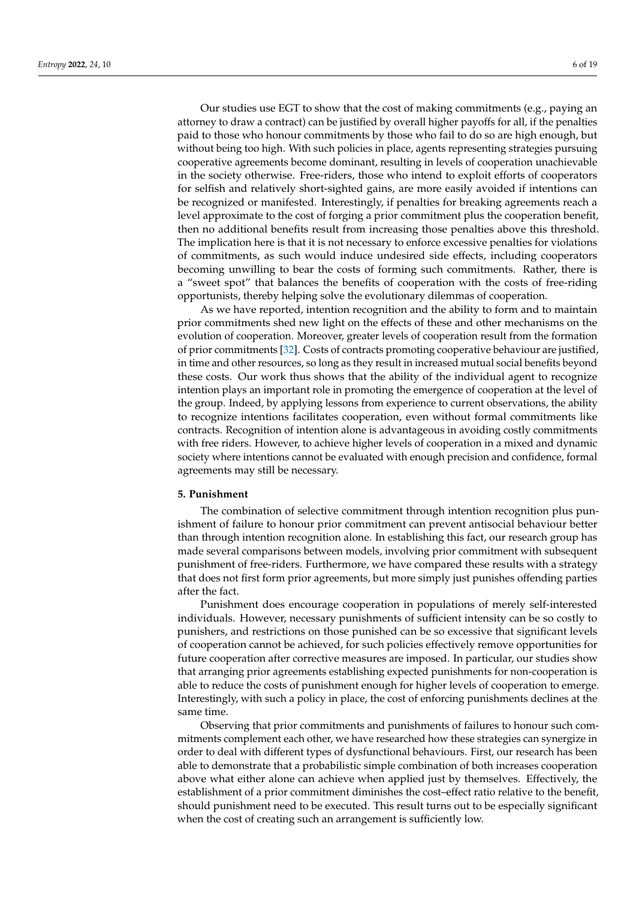Our studies use EGT to show that the cost of making commitments (e.g., paying an attorney to draw a contract) can be justified by overall higher payoffs for all, if the penalties paid to those who honour commitments by those who fail to do so are high enough, but without being too high. With such policies in place, agents representing strategies pursuing cooperative agreements become dominant, resulting in levels of cooperation unachievable in the society otherwise. Free-riders, those who intend to exploit efforts of cooperators for selfish and relatively short-sighted gains, are more easily avoided if intentions can be recognized or manifested. Interestingly, if penalties for breaking agreements reach a level approximate to the cost of forging a prior commitment plus the cooperation benefit, then no additional benefits result from increasing those penalties above this threshold. The implication here is that it is not necessary to enforce excessive penalties for violations of commitments, as such would induce undesired side effects, including cooperators becoming unwilling to bear the costs of forming such commitments. Rather, there is

opportunists, thereby helping solve the evolutionary dilemmas of cooperation. As we have reported, intention recognition and the ability to form and to maintain prior commitments shed new light on the effects of these and other mechanisms on the evolution of cooperation. Moreover, greater levels of cooperation result from the formation of prior commitments [\[32\]](#page-17-21). Costs of contracts promoting cooperative behaviour are justified, in time and other resources, so long as they result in increased mutual social benefits beyond these costs. Our work thus shows that the ability of the individual agent to recognize intention plays an important role in promoting the emergence of cooperation at the level of the group. Indeed, by applying lessons from experience to current observations, the ability to recognize intentions facilitates cooperation, even without formal commitments like contracts. Recognition of intention alone is advantageous in avoiding costly commitments with free riders. However, to achieve higher levels of cooperation in a mixed and dynamic society where intentions cannot be evaluated with enough precision and confidence, formal agreements may still be necessary.

a "sweet spot" that balances the benefits of cooperation with the costs of free-riding

### **5. Punishment**

The combination of selective commitment through intention recognition plus punishment of failure to honour prior commitment can prevent antisocial behaviour better than through intention recognition alone. In establishing this fact, our research group has made several comparisons between models, involving prior commitment with subsequent punishment of free-riders. Furthermore, we have compared these results with a strategy that does not first form prior agreements, but more simply just punishes offending parties after the fact.

Punishment does encourage cooperation in populations of merely self-interested individuals. However, necessary punishments of sufficient intensity can be so costly to punishers, and restrictions on those punished can be so excessive that significant levels of cooperation cannot be achieved, for such policies effectively remove opportunities for future cooperation after corrective measures are imposed. In particular, our studies show that arranging prior agreements establishing expected punishments for non-cooperation is able to reduce the costs of punishment enough for higher levels of cooperation to emerge. Interestingly, with such a policy in place, the cost of enforcing punishments declines at the same time.

Observing that prior commitments and punishments of failures to honour such commitments complement each other, we have researched how these strategies can synergize in order to deal with different types of dysfunctional behaviours. First, our research has been able to demonstrate that a probabilistic simple combination of both increases cooperation above what either alone can achieve when applied just by themselves. Effectively, the establishment of a prior commitment diminishes the cost–effect ratio relative to the benefit, should punishment need to be executed. This result turns out to be especially significant when the cost of creating such an arrangement is sufficiently low.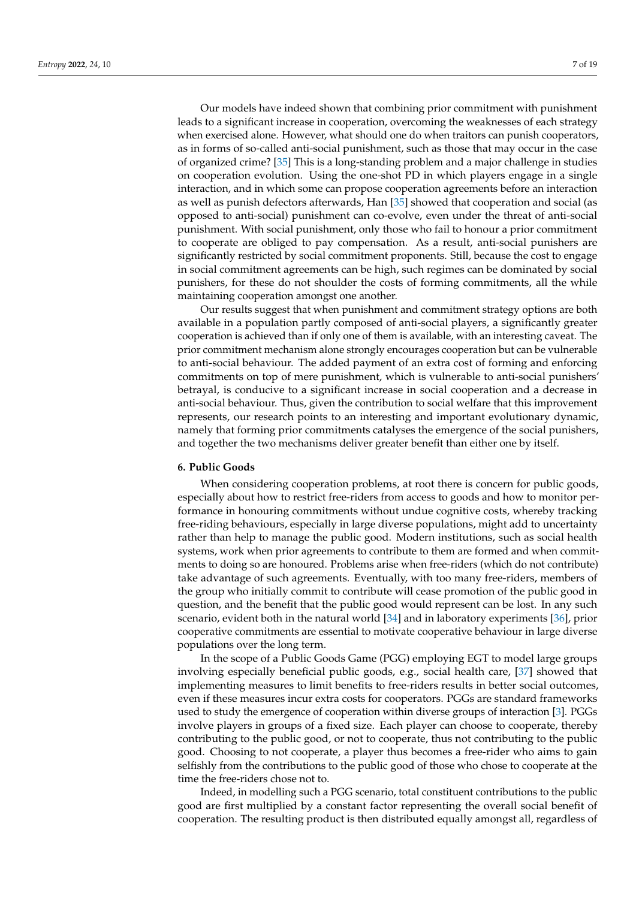Our models have indeed shown that combining prior commitment with punishment leads to a significant increase in cooperation, overcoming the weaknesses of each strategy when exercised alone. However, what should one do when traitors can punish cooperators, as in forms of so-called anti-social punishment, such as those that may occur in the case of organized crime? [\[35\]](#page-17-24) This is a long-standing problem and a major challenge in studies on cooperation evolution. Using the one-shot PD in which players engage in a single interaction, and in which some can propose cooperation agreements before an interaction as well as punish defectors afterwards, Han [\[35\]](#page-17-24) showed that cooperation and social (as opposed to anti-social) punishment can co-evolve, even under the threat of anti-social punishment. With social punishment, only those who fail to honour a prior commitment to cooperate are obliged to pay compensation. As a result, anti-social punishers are significantly restricted by social commitment proponents. Still, because the cost to engage in social commitment agreements can be high, such regimes can be dominated by social punishers, for these do not shoulder the costs of forming commitments, all the while maintaining cooperation amongst one another.

Our results suggest that when punishment and commitment strategy options are both available in a population partly composed of anti-social players, a significantly greater cooperation is achieved than if only one of them is available, with an interesting caveat. The prior commitment mechanism alone strongly encourages cooperation but can be vulnerable to anti-social behaviour. The added payment of an extra cost of forming and enforcing commitments on top of mere punishment, which is vulnerable to anti-social punishers' betrayal, is conducive to a significant increase in social cooperation and a decrease in anti-social behaviour. Thus, given the contribution to social welfare that this improvement represents, our research points to an interesting and important evolutionary dynamic, namely that forming prior commitments catalyses the emergence of the social punishers, and together the two mechanisms deliver greater benefit than either one by itself.

#### **6. Public Goods**

When considering cooperation problems, at root there is concern for public goods, especially about how to restrict free-riders from access to goods and how to monitor performance in honouring commitments without undue cognitive costs, whereby tracking free-riding behaviours, especially in large diverse populations, might add to uncertainty rather than help to manage the public good. Modern institutions, such as social health systems, work when prior agreements to contribute to them are formed and when commitments to doing so are honoured. Problems arise when free-riders (which do not contribute) take advantage of such agreements. Eventually, with too many free-riders, members of the group who initially commit to contribute will cease promotion of the public good in question, and the benefit that the public good would represent can be lost. In any such scenario, evident both in the natural world [\[34\]](#page-17-23) and in laboratory experiments [\[36\]](#page-17-25), prior cooperative commitments are essential to motivate cooperative behaviour in large diverse populations over the long term.

In the scope of a Public Goods Game (PGG) employing EGT to model large groups involving especially beneficial public goods, e.g., social health care, [\[37\]](#page-17-26) showed that implementing measures to limit benefits to free-riders results in better social outcomes, even if these measures incur extra costs for cooperators. PGGs are standard frameworks used to study the emergence of cooperation within diverse groups of interaction [\[3\]](#page-16-2). PGGs involve players in groups of a fixed size. Each player can choose to cooperate, thereby contributing to the public good, or not to cooperate, thus not contributing to the public good. Choosing to not cooperate, a player thus becomes a free-rider who aims to gain selfishly from the contributions to the public good of those who chose to cooperate at the time the free-riders chose not to.

Indeed, in modelling such a PGG scenario, total constituent contributions to the public good are first multiplied by a constant factor representing the overall social benefit of cooperation. The resulting product is then distributed equally amongst all, regardless of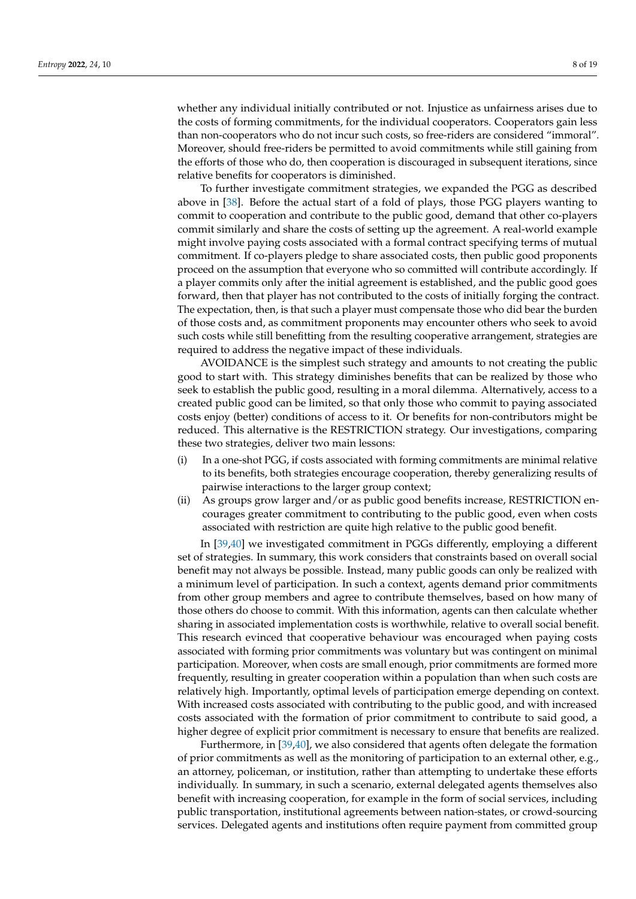whether any individual initially contributed or not. Injustice as unfairness arises due to the costs of forming commitments, for the individual cooperators. Cooperators gain less than non-cooperators who do not incur such costs, so free-riders are considered "immoral". Moreover, should free-riders be permitted to avoid commitments while still gaining from the efforts of those who do, then cooperation is discouraged in subsequent iterations, since relative benefits for cooperators is diminished.

To further investigate commitment strategies, we expanded the PGG as described above in [\[38\]](#page-17-27). Before the actual start of a fold of plays, those PGG players wanting to commit to cooperation and contribute to the public good, demand that other co-players commit similarly and share the costs of setting up the agreement. A real-world example might involve paying costs associated with a formal contract specifying terms of mutual commitment. If co-players pledge to share associated costs, then public good proponents proceed on the assumption that everyone who so committed will contribute accordingly. If a player commits only after the initial agreement is established, and the public good goes forward, then that player has not contributed to the costs of initially forging the contract. The expectation, then, is that such a player must compensate those who did bear the burden of those costs and, as commitment proponents may encounter others who seek to avoid such costs while still benefitting from the resulting cooperative arrangement, strategies are required to address the negative impact of these individuals.

AVOIDANCE is the simplest such strategy and amounts to not creating the public good to start with. This strategy diminishes benefits that can be realized by those who seek to establish the public good, resulting in a moral dilemma. Alternatively, access to a created public good can be limited, so that only those who commit to paying associated costs enjoy (better) conditions of access to it. Or benefits for non-contributors might be reduced. This alternative is the RESTRICTION strategy. Our investigations, comparing these two strategies, deliver two main lessons:

- (i) In a one-shot PGG, if costs associated with forming commitments are minimal relative to its benefits, both strategies encourage cooperation, thereby generalizing results of pairwise interactions to the larger group context;
- (ii) As groups grow larger and/or as public good benefits increase, RESTRICTION encourages greater commitment to contributing to the public good, even when costs associated with restriction are quite high relative to the public good benefit.

In [\[39](#page-17-28)[,40\]](#page-18-0) we investigated commitment in PGGs differently, employing a different set of strategies. In summary, this work considers that constraints based on overall social benefit may not always be possible. Instead, many public goods can only be realized with a minimum level of participation. In such a context, agents demand prior commitments from other group members and agree to contribute themselves, based on how many of those others do choose to commit. With this information, agents can then calculate whether sharing in associated implementation costs is worthwhile, relative to overall social benefit. This research evinced that cooperative behaviour was encouraged when paying costs associated with forming prior commitments was voluntary but was contingent on minimal participation. Moreover, when costs are small enough, prior commitments are formed more frequently, resulting in greater cooperation within a population than when such costs are relatively high. Importantly, optimal levels of participation emerge depending on context. With increased costs associated with contributing to the public good, and with increased costs associated with the formation of prior commitment to contribute to said good, a higher degree of explicit prior commitment is necessary to ensure that benefits are realized.

Furthermore, in [\[39](#page-17-28)[,40\]](#page-18-0), we also considered that agents often delegate the formation of prior commitments as well as the monitoring of participation to an external other, e.g., an attorney, policeman, or institution, rather than attempting to undertake these efforts individually. In summary, in such a scenario, external delegated agents themselves also benefit with increasing cooperation, for example in the form of social services, including public transportation, institutional agreements between nation-states, or crowd-sourcing services. Delegated agents and institutions often require payment from committed group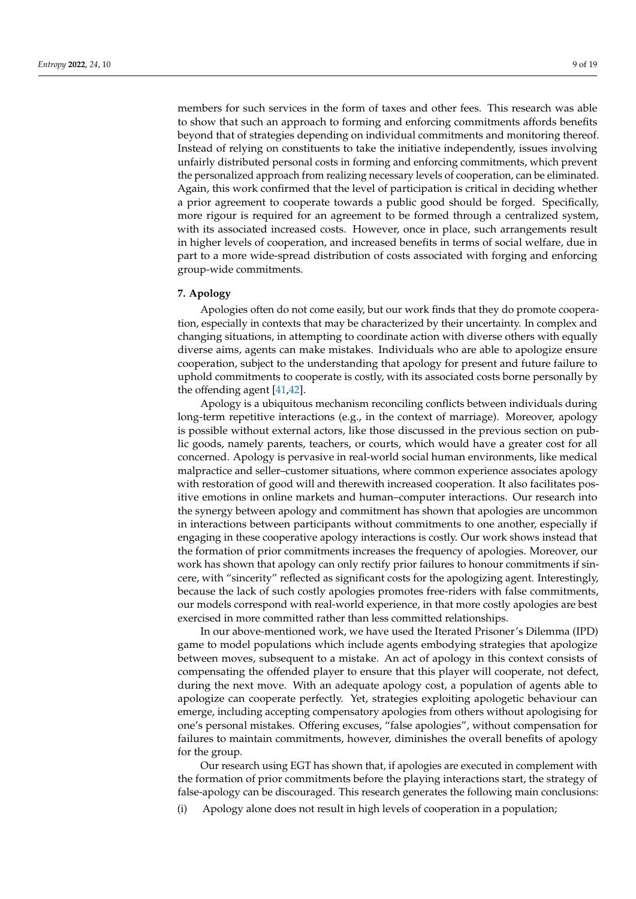members for such services in the form of taxes and other fees. This research was able to show that such an approach to forming and enforcing commitments affords benefits beyond that of strategies depending on individual commitments and monitoring thereof. Instead of relying on constituents to take the initiative independently, issues involving unfairly distributed personal costs in forming and enforcing commitments, which prevent the personalized approach from realizing necessary levels of cooperation, can be eliminated. Again, this work confirmed that the level of participation is critical in deciding whether a prior agreement to cooperate towards a public good should be forged. Specifically, more rigour is required for an agreement to be formed through a centralized system, with its associated increased costs. However, once in place, such arrangements result in higher levels of cooperation, and increased benefits in terms of social welfare, due in part to a more wide-spread distribution of costs associated with forging and enforcing group-wide commitments.

## **7. Apology**

Apologies often do not come easily, but our work finds that they do promote cooperation, especially in contexts that may be characterized by their uncertainty. In complex and changing situations, in attempting to coordinate action with diverse others with equally diverse aims, agents can make mistakes. Individuals who are able to apologize ensure cooperation, subject to the understanding that apology for present and future failure to uphold commitments to cooperate is costly, with its associated costs borne personally by the offending agent [\[41,](#page-18-1)[42\]](#page-18-2).

Apology is a ubiquitous mechanism reconciling conflicts between individuals during long-term repetitive interactions (e.g., in the context of marriage). Moreover, apology is possible without external actors, like those discussed in the previous section on public goods, namely parents, teachers, or courts, which would have a greater cost for all concerned. Apology is pervasive in real-world social human environments, like medical malpractice and seller–customer situations, where common experience associates apology with restoration of good will and therewith increased cooperation. It also facilitates positive emotions in online markets and human–computer interactions. Our research into the synergy between apology and commitment has shown that apologies are uncommon in interactions between participants without commitments to one another, especially if engaging in these cooperative apology interactions is costly. Our work shows instead that the formation of prior commitments increases the frequency of apologies. Moreover, our work has shown that apology can only rectify prior failures to honour commitments if sincere, with "sincerity" reflected as significant costs for the apologizing agent. Interestingly, because the lack of such costly apologies promotes free-riders with false commitments, our models correspond with real-world experience, in that more costly apologies are best exercised in more committed rather than less committed relationships.

In our above-mentioned work, we have used the Iterated Prisoner's Dilemma (IPD) game to model populations which include agents embodying strategies that apologize between moves, subsequent to a mistake. An act of apology in this context consists of compensating the offended player to ensure that this player will cooperate, not defect, during the next move. With an adequate apology cost, a population of agents able to apologize can cooperate perfectly. Yet, strategies exploiting apologetic behaviour can emerge, including accepting compensatory apologies from others without apologising for one's personal mistakes. Offering excuses, "false apologies", without compensation for failures to maintain commitments, however, diminishes the overall benefits of apology for the group.

Our research using EGT has shown that, if apologies are executed in complement with the formation of prior commitments before the playing interactions start, the strategy of false-apology can be discouraged. This research generates the following main conclusions:

(i) Apology alone does not result in high levels of cooperation in a population;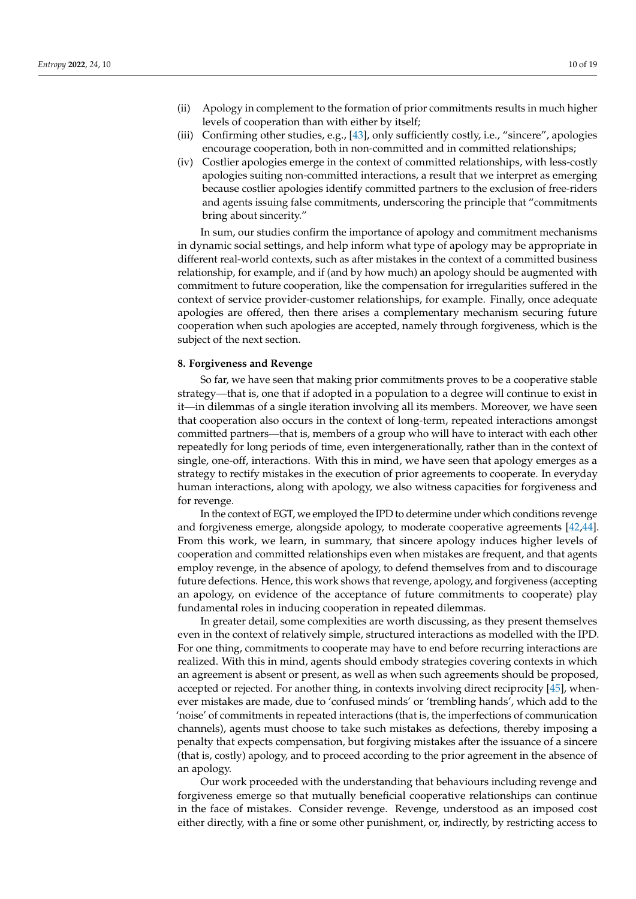- (ii) Apology in complement to the formation of prior commitments results in much higher levels of cooperation than with either by itself;
- (iii) Confirming other studies, e.g., [\[43\]](#page-18-3), only sufficiently costly, i.e., "sincere", apologies encourage cooperation, both in non-committed and in committed relationships;
- (iv) Costlier apologies emerge in the context of committed relationships, with less-costly apologies suiting non-committed interactions, a result that we interpret as emerging because costlier apologies identify committed partners to the exclusion of free-riders and agents issuing false commitments, underscoring the principle that "commitments bring about sincerity."

In sum, our studies confirm the importance of apology and commitment mechanisms in dynamic social settings, and help inform what type of apology may be appropriate in different real-world contexts, such as after mistakes in the context of a committed business relationship, for example, and if (and by how much) an apology should be augmented with commitment to future cooperation, like the compensation for irregularities suffered in the context of service provider-customer relationships, for example. Finally, once adequate apologies are offered, then there arises a complementary mechanism securing future cooperation when such apologies are accepted, namely through forgiveness, which is the subject of the next section.

#### **8. Forgiveness and Revenge**

So far, we have seen that making prior commitments proves to be a cooperative stable strategy—that is, one that if adopted in a population to a degree will continue to exist in it—in dilemmas of a single iteration involving all its members. Moreover, we have seen that cooperation also occurs in the context of long-term, repeated interactions amongst committed partners—that is, members of a group who will have to interact with each other repeatedly for long periods of time, even intergenerationally, rather than in the context of single, one-off, interactions. With this in mind, we have seen that apology emerges as a strategy to rectify mistakes in the execution of prior agreements to cooperate. In everyday human interactions, along with apology, we also witness capacities for forgiveness and for revenge.

In the context of EGT, we employed the IPD to determine under which conditions revenge and forgiveness emerge, alongside apology, to moderate cooperative agreements [\[42](#page-18-2)[,44\]](#page-18-4). From this work, we learn, in summary, that sincere apology induces higher levels of cooperation and committed relationships even when mistakes are frequent, and that agents employ revenge, in the absence of apology, to defend themselves from and to discourage future defections. Hence, this work shows that revenge, apology, and forgiveness (accepting an apology, on evidence of the acceptance of future commitments to cooperate) play fundamental roles in inducing cooperation in repeated dilemmas.

In greater detail, some complexities are worth discussing, as they present themselves even in the context of relatively simple, structured interactions as modelled with the IPD. For one thing, commitments to cooperate may have to end before recurring interactions are realized. With this in mind, agents should embody strategies covering contexts in which an agreement is absent or present, as well as when such agreements should be proposed, accepted or rejected. For another thing, in contexts involving direct reciprocity [\[45\]](#page-18-5), whenever mistakes are made, due to 'confused minds' or 'trembling hands', which add to the 'noise' of commitments in repeated interactions (that is, the imperfections of communication channels), agents must choose to take such mistakes as defections, thereby imposing a penalty that expects compensation, but forgiving mistakes after the issuance of a sincere (that is, costly) apology, and to proceed according to the prior agreement in the absence of an apology.

Our work proceeded with the understanding that behaviours including revenge and forgiveness emerge so that mutually beneficial cooperative relationships can continue in the face of mistakes. Consider revenge. Revenge, understood as an imposed cost either directly, with a fine or some other punishment, or, indirectly, by restricting access to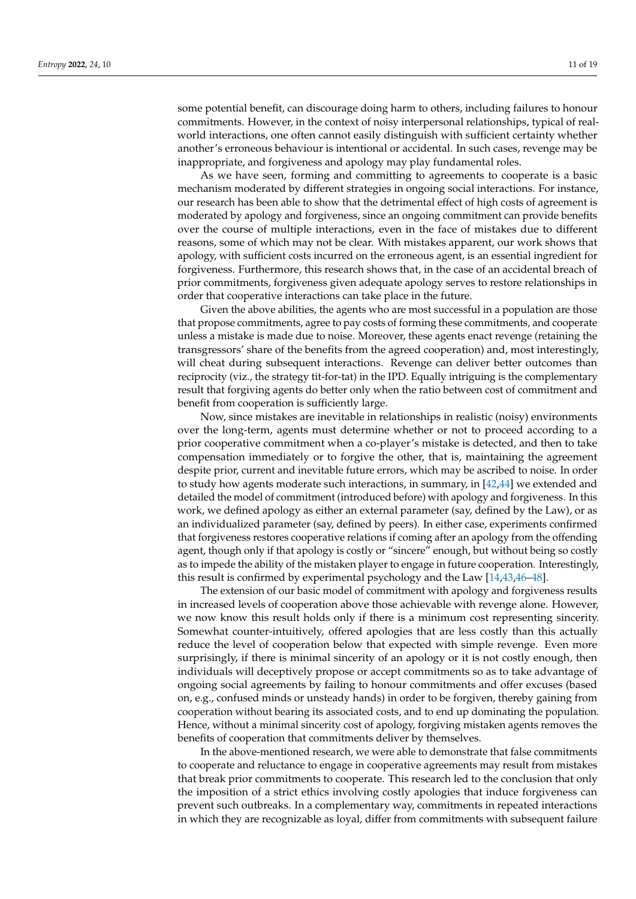some potential benefit, can discourage doing harm to others, including failures to honour commitments. However, in the context of noisy interpersonal relationships, typical of realworld interactions, one often cannot easily distinguish with sufficient certainty whether another's erroneous behaviour is intentional or accidental. In such cases, revenge may be inappropriate, and forgiveness and apology may play fundamental roles.

As we have seen, forming and committing to agreements to cooperate is a basic mechanism moderated by different strategies in ongoing social interactions. For instance, our research has been able to show that the detrimental effect of high costs of agreement is moderated by apology and forgiveness, since an ongoing commitment can provide benefits over the course of multiple interactions, even in the face of mistakes due to different reasons, some of which may not be clear. With mistakes apparent, our work shows that apology, with sufficient costs incurred on the erroneous agent, is an essential ingredient for forgiveness. Furthermore, this research shows that, in the case of an accidental breach of prior commitments, forgiveness given adequate apology serves to restore relationships in order that cooperative interactions can take place in the future.

Given the above abilities, the agents who are most successful in a population are those that propose commitments, agree to pay costs of forming these commitments, and cooperate unless a mistake is made due to noise. Moreover, these agents enact revenge (retaining the transgressors' share of the benefits from the agreed cooperation) and, most interestingly, will cheat during subsequent interactions. Revenge can deliver better outcomes than reciprocity (viz., the strategy tit-for-tat) in the IPD. Equally intriguing is the complementary result that forgiving agents do better only when the ratio between cost of commitment and benefit from cooperation is sufficiently large.

Now, since mistakes are inevitable in relationships in realistic (noisy) environments over the long-term, agents must determine whether or not to proceed according to a prior cooperative commitment when a co-player's mistake is detected, and then to take compensation immediately or to forgive the other, that is, maintaining the agreement despite prior, current and inevitable future errors, which may be ascribed to noise. In order to study how agents moderate such interactions, in summary, in [\[42,](#page-18-2)[44\]](#page-18-4) we extended and detailed the model of commitment (introduced before) with apology and forgiveness. In this work, we defined apology as either an external parameter (say, defined by the Law), or as an individualized parameter (say, defined by peers). In either case, experiments confirmed that forgiveness restores cooperative relations if coming after an apology from the offending agent, though only if that apology is costly or "sincere" enough, but without being so costly as to impede the ability of the mistaken player to engage in future cooperation. Interestingly, this result is confirmed by experimental psychology and the Law [\[14](#page-17-7)[,43](#page-18-3)[,46–](#page-18-6)[48\]](#page-18-7).

The extension of our basic model of commitment with apology and forgiveness results in increased levels of cooperation above those achievable with revenge alone. However, we now know this result holds only if there is a minimum cost representing sincerity. Somewhat counter-intuitively, offered apologies that are less costly than this actually reduce the level of cooperation below that expected with simple revenge. Even more surprisingly, if there is minimal sincerity of an apology or it is not costly enough, then individuals will deceptively propose or accept commitments so as to take advantage of ongoing social agreements by failing to honour commitments and offer excuses (based on, e.g., confused minds or unsteady hands) in order to be forgiven, thereby gaining from cooperation without bearing its associated costs, and to end up dominating the population. Hence, without a minimal sincerity cost of apology, forgiving mistaken agents removes the benefits of cooperation that commitments deliver by themselves.

In the above-mentioned research, we were able to demonstrate that false commitments to cooperate and reluctance to engage in cooperative agreements may result from mistakes that break prior commitments to cooperate. This research led to the conclusion that only the imposition of a strict ethics involving costly apologies that induce forgiveness can prevent such outbreaks. In a complementary way, commitments in repeated interactions in which they are recognizable as loyal, differ from commitments with subsequent failure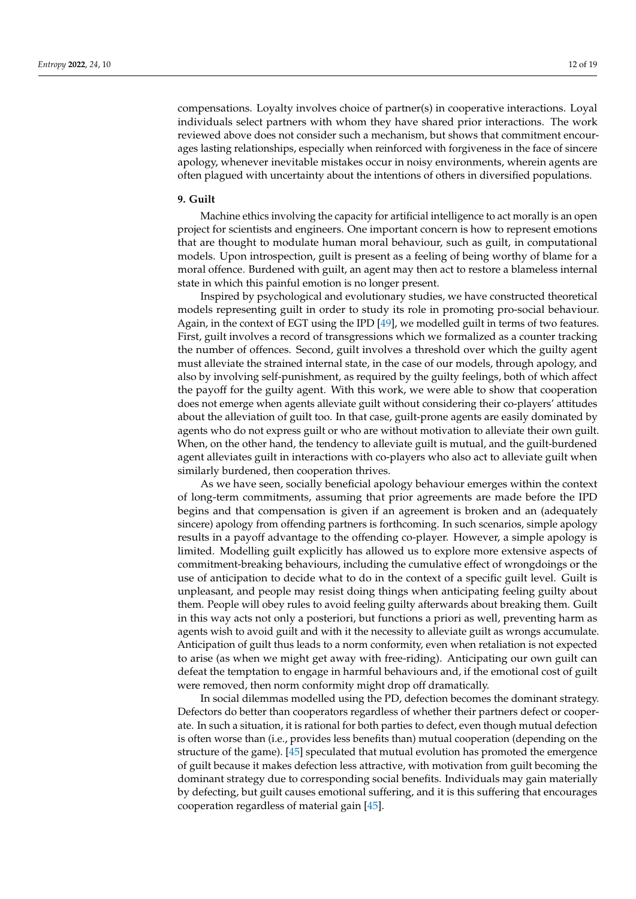compensations. Loyalty involves choice of partner(s) in cooperative interactions. Loyal individuals select partners with whom they have shared prior interactions. The work reviewed above does not consider such a mechanism, but shows that commitment encourages lasting relationships, especially when reinforced with forgiveness in the face of sincere apology, whenever inevitable mistakes occur in noisy environments, wherein agents are often plagued with uncertainty about the intentions of others in diversified populations.

#### **9. Guilt**

Machine ethics involving the capacity for artificial intelligence to act morally is an open project for scientists and engineers. One important concern is how to represent emotions that are thought to modulate human moral behaviour, such as guilt, in computational models. Upon introspection, guilt is present as a feeling of being worthy of blame for a moral offence. Burdened with guilt, an agent may then act to restore a blameless internal state in which this painful emotion is no longer present.

Inspired by psychological and evolutionary studies, we have constructed theoretical models representing guilt in order to study its role in promoting pro-social behaviour. Again, in the context of EGT using the IPD [\[49\]](#page-18-8), we modelled guilt in terms of two features. First, guilt involves a record of transgressions which we formalized as a counter tracking the number of offences. Second, guilt involves a threshold over which the guilty agent must alleviate the strained internal state, in the case of our models, through apology, and also by involving self-punishment, as required by the guilty feelings, both of which affect the payoff for the guilty agent. With this work, we were able to show that cooperation does not emerge when agents alleviate guilt without considering their co-players' attitudes about the alleviation of guilt too. In that case, guilt-prone agents are easily dominated by agents who do not express guilt or who are without motivation to alleviate their own guilt. When, on the other hand, the tendency to alleviate guilt is mutual, and the guilt-burdened agent alleviates guilt in interactions with co-players who also act to alleviate guilt when similarly burdened, then cooperation thrives.

As we have seen, socially beneficial apology behaviour emerges within the context of long-term commitments, assuming that prior agreements are made before the IPD begins and that compensation is given if an agreement is broken and an (adequately sincere) apology from offending partners is forthcoming. In such scenarios, simple apology results in a payoff advantage to the offending co-player. However, a simple apology is limited. Modelling guilt explicitly has allowed us to explore more extensive aspects of commitment-breaking behaviours, including the cumulative effect of wrongdoings or the use of anticipation to decide what to do in the context of a specific guilt level. Guilt is unpleasant, and people may resist doing things when anticipating feeling guilty about them. People will obey rules to avoid feeling guilty afterwards about breaking them. Guilt in this way acts not only a posteriori, but functions a priori as well, preventing harm as agents wish to avoid guilt and with it the necessity to alleviate guilt as wrongs accumulate. Anticipation of guilt thus leads to a norm conformity, even when retaliation is not expected to arise (as when we might get away with free-riding). Anticipating our own guilt can defeat the temptation to engage in harmful behaviours and, if the emotional cost of guilt were removed, then norm conformity might drop off dramatically.

In social dilemmas modelled using the PD, defection becomes the dominant strategy. Defectors do better than cooperators regardless of whether their partners defect or cooperate. In such a situation, it is rational for both parties to defect, even though mutual defection is often worse than (i.e., provides less benefits than) mutual cooperation (depending on the structure of the game). [\[45\]](#page-18-5) speculated that mutual evolution has promoted the emergence of guilt because it makes defection less attractive, with motivation from guilt becoming the dominant strategy due to corresponding social benefits. Individuals may gain materially by defecting, but guilt causes emotional suffering, and it is this suffering that encourages cooperation regardless of material gain [\[45\]](#page-18-5).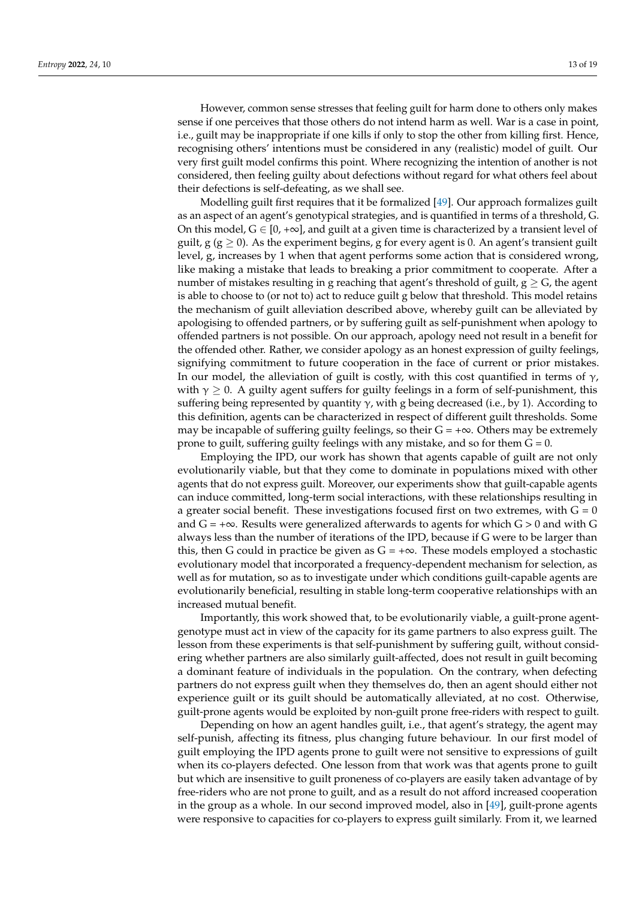However, common sense stresses that feeling guilt for harm done to others only makes sense if one perceives that those others do not intend harm as well. War is a case in point, i.e., guilt may be inappropriate if one kills if only to stop the other from killing first. Hence, recognising others' intentions must be considered in any (realistic) model of guilt. Our very first guilt model confirms this point. Where recognizing the intention of another is not considered, then feeling guilty about defections without regard for what others feel about their defections is self-defeating, as we shall see.

Modelling guilt first requires that it be formalized [\[49\]](#page-18-8). Our approach formalizes guilt as an aspect of an agent's genotypical strategies, and is quantified in terms of a threshold, G. On this model,  $G \in [0, +\infty]$ , and guilt at a given time is characterized by a transient level of guilt, g ( $g \ge 0$ ). As the experiment begins, g for every agent is 0. An agent's transient guilt level, g, increases by 1 when that agent performs some action that is considered wrong, like making a mistake that leads to breaking a prior commitment to cooperate. After a number of mistakes resulting in g reaching that agent's threshold of guilt,  $g \geq G$ , the agent is able to choose to (or not to) act to reduce guilt g below that threshold. This model retains the mechanism of guilt alleviation described above, whereby guilt can be alleviated by apologising to offended partners, or by suffering guilt as self-punishment when apology to offended partners is not possible. On our approach, apology need not result in a benefit for the offended other. Rather, we consider apology as an honest expression of guilty feelings, signifying commitment to future cooperation in the face of current or prior mistakes. In our model, the alleviation of guilt is costly, with this cost quantified in terms of  $\gamma$ , with  $\gamma \geq 0$ . A guilty agent suffers for guilty feelings in a form of self-punishment, this suffering being represented by quantity  $\gamma$ , with g being decreased (i.e., by 1). According to this definition, agents can be characterized in respect of different guilt thresholds. Some may be incapable of suffering guilty feelings, so their  $G = +\infty$ . Others may be extremely prone to guilt, suffering guilty feelings with any mistake, and so for them  $G = 0$ .

Employing the IPD, our work has shown that agents capable of guilt are not only evolutionarily viable, but that they come to dominate in populations mixed with other agents that do not express guilt. Moreover, our experiments show that guilt-capable agents can induce committed, long-term social interactions, with these relationships resulting in a greater social benefit. These investigations focused first on two extremes, with  $G = 0$ and  $G = +\infty$ . Results were generalized afterwards to agents for which  $G > 0$  and with G always less than the number of iterations of the IPD, because if G were to be larger than this, then G could in practice be given as  $G = +\infty$ . These models employed a stochastic evolutionary model that incorporated a frequency-dependent mechanism for selection, as well as for mutation, so as to investigate under which conditions guilt-capable agents are evolutionarily beneficial, resulting in stable long-term cooperative relationships with an increased mutual benefit.

Importantly, this work showed that, to be evolutionarily viable, a guilt-prone agentgenotype must act in view of the capacity for its game partners to also express guilt. The lesson from these experiments is that self-punishment by suffering guilt, without considering whether partners are also similarly guilt-affected, does not result in guilt becoming a dominant feature of individuals in the population. On the contrary, when defecting partners do not express guilt when they themselves do, then an agent should either not experience guilt or its guilt should be automatically alleviated, at no cost. Otherwise, guilt-prone agents would be exploited by non-guilt prone free-riders with respect to guilt.

Depending on how an agent handles guilt, i.e., that agent's strategy, the agent may self-punish, affecting its fitness, plus changing future behaviour. In our first model of guilt employing the IPD agents prone to guilt were not sensitive to expressions of guilt when its co-players defected. One lesson from that work was that agents prone to guilt but which are insensitive to guilt proneness of co-players are easily taken advantage of by free-riders who are not prone to guilt, and as a result do not afford increased cooperation in the group as a whole. In our second improved model, also in [\[49\]](#page-18-8), guilt-prone agents were responsive to capacities for co-players to express guilt similarly. From it, we learned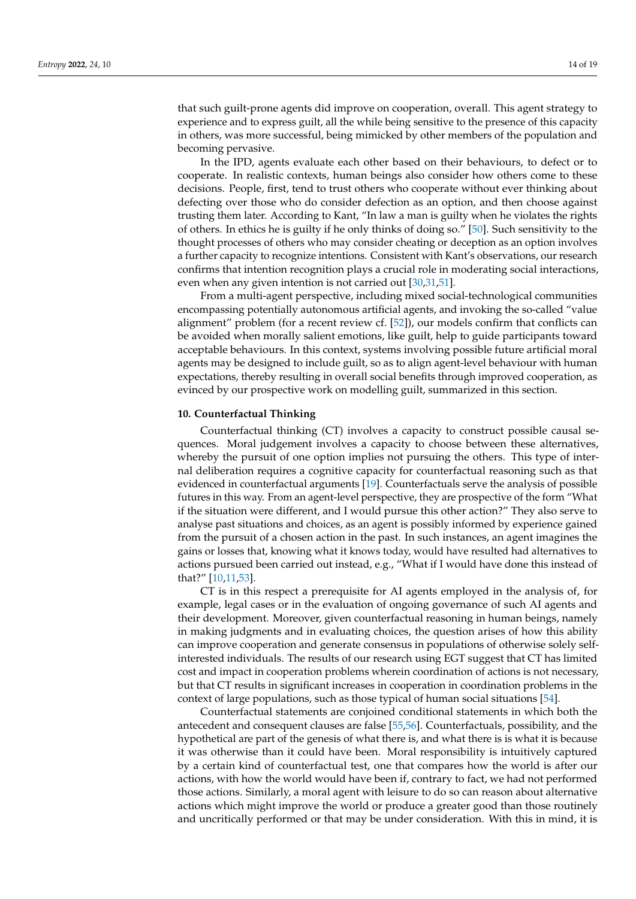that such guilt-prone agents did improve on cooperation, overall. This agent strategy to experience and to express guilt, all the while being sensitive to the presence of this capacity in others, was more successful, being mimicked by other members of the population and becoming pervasive.

In the IPD, agents evaluate each other based on their behaviours, to defect or to cooperate. In realistic contexts, human beings also consider how others come to these decisions. People, first, tend to trust others who cooperate without ever thinking about defecting over those who do consider defection as an option, and then choose against trusting them later. According to Kant, "In law a man is guilty when he violates the rights of others. In ethics he is guilty if he only thinks of doing so." [\[50\]](#page-18-9). Such sensitivity to the thought processes of others who may consider cheating or deception as an option involves a further capacity to recognize intentions. Consistent with Kant's observations, our research confirms that intention recognition plays a crucial role in moderating social interactions, even when any given intention is not carried out [\[30](#page-17-20)[,31](#page-17-29)[,51\]](#page-18-10).

From a multi-agent perspective, including mixed social-technological communities encompassing potentially autonomous artificial agents, and invoking the so-called "value alignment" problem (for a recent review cf. [\[52\]](#page-18-11)), our models confirm that conflicts can be avoided when morally salient emotions, like guilt, help to guide participants toward acceptable behaviours. In this context, systems involving possible future artificial moral agents may be designed to include guilt, so as to align agent-level behaviour with human expectations, thereby resulting in overall social benefits through improved cooperation, as evinced by our prospective work on modelling guilt, summarized in this section.

## **10. Counterfactual Thinking**

Counterfactual thinking (CT) involves a capacity to construct possible causal sequences. Moral judgement involves a capacity to choose between these alternatives, whereby the pursuit of one option implies not pursuing the others. This type of internal deliberation requires a cognitive capacity for counterfactual reasoning such as that evidenced in counterfactual arguments [\[19\]](#page-17-12). Counterfactuals serve the analysis of possible futures in this way. From an agent-level perspective, they are prospective of the form "What if the situation were different, and I would pursue this other action?" They also serve to analyse past situations and choices, as an agent is possibly informed by experience gained from the pursuit of a chosen action in the past. In such instances, an agent imagines the gains or losses that, knowing what it knows today, would have resulted had alternatives to actions pursued been carried out instead, e.g., "What if I would have done this instead of that?" [\[10](#page-17-4)[,11](#page-17-30)[,53\]](#page-18-12).

CT is in this respect a prerequisite for AI agents employed in the analysis of, for example, legal cases or in the evaluation of ongoing governance of such AI agents and their development. Moreover, given counterfactual reasoning in human beings, namely in making judgments and in evaluating choices, the question arises of how this ability can improve cooperation and generate consensus in populations of otherwise solely selfinterested individuals. The results of our research using EGT suggest that CT has limited cost and impact in cooperation problems wherein coordination of actions is not necessary, but that CT results in significant increases in cooperation in coordination problems in the context of large populations, such as those typical of human social situations [\[54\]](#page-18-13).

Counterfactual statements are conjoined conditional statements in which both the antecedent and consequent clauses are false [\[55](#page-18-14)[,56\]](#page-18-15). Counterfactuals, possibility, and the hypothetical are part of the genesis of what there is, and what there is is what it is because it was otherwise than it could have been. Moral responsibility is intuitively captured by a certain kind of counterfactual test, one that compares how the world is after our actions, with how the world would have been if, contrary to fact, we had not performed those actions. Similarly, a moral agent with leisure to do so can reason about alternative actions which might improve the world or produce a greater good than those routinely and uncritically performed or that may be under consideration. With this in mind, it is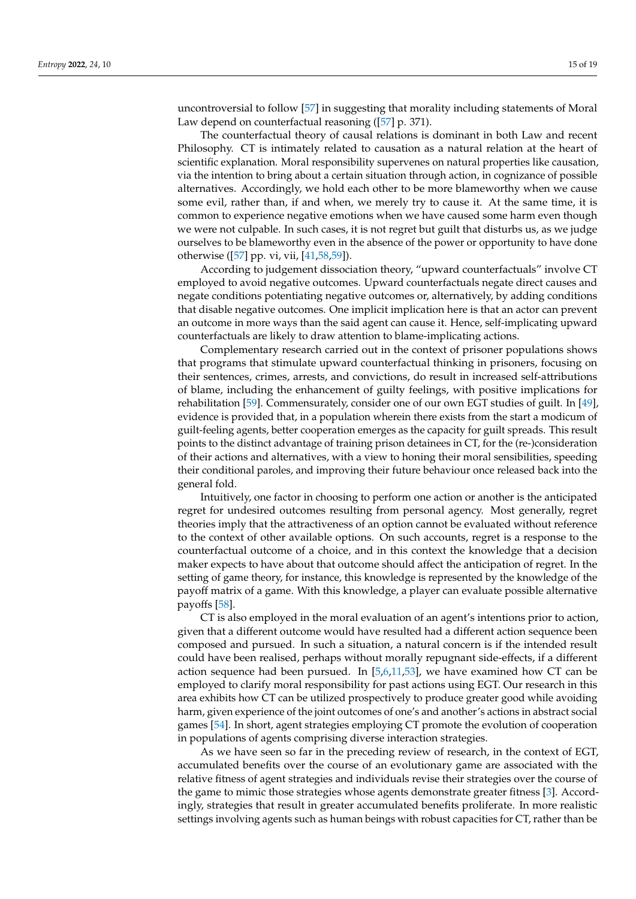uncontroversial to follow [\[57\]](#page-18-16) in suggesting that morality including statements of Moral Law depend on counterfactual reasoning ([\[57\]](#page-18-16) p. 371).

The counterfactual theory of causal relations is dominant in both Law and recent Philosophy. CT is intimately related to causation as a natural relation at the heart of scientific explanation. Moral responsibility supervenes on natural properties like causation, via the intention to bring about a certain situation through action, in cognizance of possible alternatives. Accordingly, we hold each other to be more blameworthy when we cause some evil, rather than, if and when, we merely try to cause it. At the same time, it is common to experience negative emotions when we have caused some harm even though we were not culpable. In such cases, it is not regret but guilt that disturbs us, as we judge ourselves to be blameworthy even in the absence of the power or opportunity to have done otherwise ([\[57\]](#page-18-16) pp. vi, vii, [\[41](#page-18-1)[,58](#page-18-17)[,59\]](#page-18-18)).

According to judgement dissociation theory, "upward counterfactuals" involve CT employed to avoid negative outcomes. Upward counterfactuals negate direct causes and negate conditions potentiating negative outcomes or, alternatively, by adding conditions that disable negative outcomes. One implicit implication here is that an actor can prevent an outcome in more ways than the said agent can cause it. Hence, self-implicating upward counterfactuals are likely to draw attention to blame-implicating actions.

Complementary research carried out in the context of prisoner populations shows that programs that stimulate upward counterfactual thinking in prisoners, focusing on their sentences, crimes, arrests, and convictions, do result in increased self-attributions of blame, including the enhancement of guilty feelings, with positive implications for rehabilitation [\[59\]](#page-18-18). Commensurately, consider one of our own EGT studies of guilt. In [\[49\]](#page-18-8), evidence is provided that, in a population wherein there exists from the start a modicum of guilt-feeling agents, better cooperation emerges as the capacity for guilt spreads. This result points to the distinct advantage of training prison detainees in CT, for the (re-)consideration of their actions and alternatives, with a view to honing their moral sensibilities, speeding their conditional paroles, and improving their future behaviour once released back into the general fold.

Intuitively, one factor in choosing to perform one action or another is the anticipated regret for undesired outcomes resulting from personal agency. Most generally, regret theories imply that the attractiveness of an option cannot be evaluated without reference to the context of other available options. On such accounts, regret is a response to the counterfactual outcome of a choice, and in this context the knowledge that a decision maker expects to have about that outcome should affect the anticipation of regret. In the setting of game theory, for instance, this knowledge is represented by the knowledge of the payoff matrix of a game. With this knowledge, a player can evaluate possible alternative payoffs [\[58\]](#page-18-17).

CT is also employed in the moral evaluation of an agent's intentions prior to action, given that a different outcome would have resulted had a different action sequence been composed and pursued. In such a situation, a natural concern is if the intended result could have been realised, perhaps without morally repugnant side-effects, if a different action sequence had been pursued. In [\[5](#page-16-4)[,6](#page-17-0)[,11](#page-17-30)[,53\]](#page-18-12), we have examined how CT can be employed to clarify moral responsibility for past actions using EGT. Our research in this area exhibits how CT can be utilized prospectively to produce greater good while avoiding harm, given experience of the joint outcomes of one's and another's actions in abstract social games [\[54\]](#page-18-13). In short, agent strategies employing CT promote the evolution of cooperation in populations of agents comprising diverse interaction strategies.

As we have seen so far in the preceding review of research, in the context of EGT, accumulated benefits over the course of an evolutionary game are associated with the relative fitness of agent strategies and individuals revise their strategies over the course of the game to mimic those strategies whose agents demonstrate greater fitness [\[3\]](#page-16-2). Accordingly, strategies that result in greater accumulated benefits proliferate. In more realistic settings involving agents such as human beings with robust capacities for CT, rather than be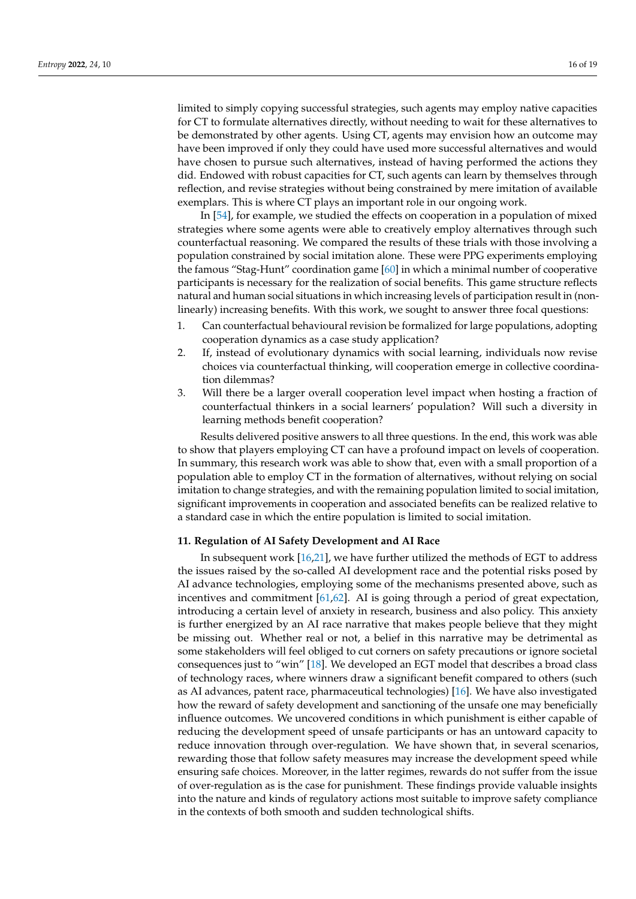limited to simply copying successful strategies, such agents may employ native capacities for CT to formulate alternatives directly, without needing to wait for these alternatives to be demonstrated by other agents. Using CT, agents may envision how an outcome may have been improved if only they could have used more successful alternatives and would have chosen to pursue such alternatives, instead of having performed the actions they did. Endowed with robust capacities for CT, such agents can learn by themselves through reflection, and revise strategies without being constrained by mere imitation of available exemplars. This is where CT plays an important role in our ongoing work.

In [\[54\]](#page-18-13), for example, we studied the effects on cooperation in a population of mixed strategies where some agents were able to creatively employ alternatives through such counterfactual reasoning. We compared the results of these trials with those involving a population constrained by social imitation alone. These were PPG experiments employing the famous "Stag-Hunt" coordination game [\[60\]](#page-18-19) in which a minimal number of cooperative participants is necessary for the realization of social benefits. This game structure reflects natural and human social situations in which increasing levels of participation result in (nonlinearly) increasing benefits. With this work, we sought to answer three focal questions:

- 1. Can counterfactual behavioural revision be formalized for large populations, adopting cooperation dynamics as a case study application?
- 2. If, instead of evolutionary dynamics with social learning, individuals now revise choices via counterfactual thinking, will cooperation emerge in collective coordination dilemmas?
- 3. Will there be a larger overall cooperation level impact when hosting a fraction of counterfactual thinkers in a social learners' population? Will such a diversity in learning methods benefit cooperation?

Results delivered positive answers to all three questions. In the end, this work was able to show that players employing CT can have a profound impact on levels of cooperation. In summary, this research work was able to show that, even with a small proportion of a population able to employ CT in the formation of alternatives, without relying on social imitation to change strategies, and with the remaining population limited to social imitation, significant improvements in cooperation and associated benefits can be realized relative to a standard case in which the entire population is limited to social imitation.

## **11. Regulation of AI Safety Development and AI Race**

In subsequent work [\[16,](#page-17-8)[21\]](#page-17-31), we have further utilized the methods of EGT to address the issues raised by the so-called AI development race and the potential risks posed by AI advance technologies, employing some of the mechanisms presented above, such as incentives and commitment [\[61](#page-18-20)[,62\]](#page-18-21). AI is going through a period of great expectation, introducing a certain level of anxiety in research, business and also policy. This anxiety is further energized by an AI race narrative that makes people believe that they might be missing out. Whether real or not, a belief in this narrative may be detrimental as some stakeholders will feel obliged to cut corners on safety precautions or ignore societal consequences just to "win" [\[18\]](#page-17-11). We developed an EGT model that describes a broad class of technology races, where winners draw a significant benefit compared to others (such as AI advances, patent race, pharmaceutical technologies) [\[16\]](#page-17-8). We have also investigated how the reward of safety development and sanctioning of the unsafe one may beneficially influence outcomes. We uncovered conditions in which punishment is either capable of reducing the development speed of unsafe participants or has an untoward capacity to reduce innovation through over-regulation. We have shown that, in several scenarios, rewarding those that follow safety measures may increase the development speed while ensuring safe choices. Moreover, in the latter regimes, rewards do not suffer from the issue of over-regulation as is the case for punishment. These findings provide valuable insights into the nature and kinds of regulatory actions most suitable to improve safety compliance in the contexts of both smooth and sudden technological shifts.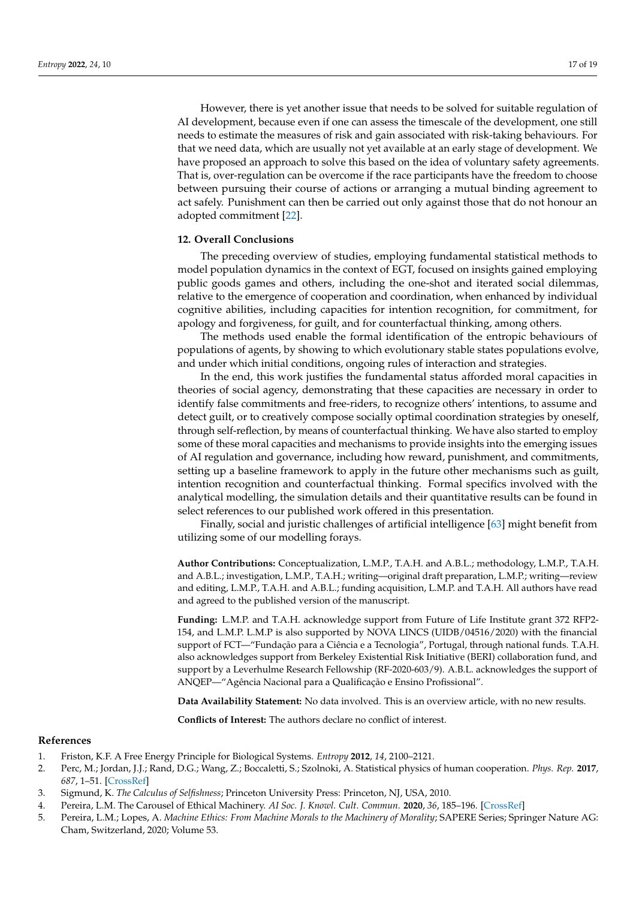However, there is yet another issue that needs to be solved for suitable regulation of AI development, because even if one can assess the timescale of the development, one still needs to estimate the measures of risk and gain associated with risk-taking behaviours. For that we need data, which are usually not yet available at an early stage of development. We have proposed an approach to solve this based on the idea of voluntary safety agreements. That is, over-regulation can be overcome if the race participants have the freedom to choose between pursuing their course of actions or arranging a mutual binding agreement to act safely. Punishment can then be carried out only against those that do not honour an adopted commitment [\[22\]](#page-17-32).

## **12. Overall Conclusions**

The preceding overview of studies, employing fundamental statistical methods to model population dynamics in the context of EGT, focused on insights gained employing public goods games and others, including the one-shot and iterated social dilemmas, relative to the emergence of cooperation and coordination, when enhanced by individual cognitive abilities, including capacities for intention recognition, for commitment, for apology and forgiveness, for guilt, and for counterfactual thinking, among others.

The methods used enable the formal identification of the entropic behaviours of populations of agents, by showing to which evolutionary stable states populations evolve, and under which initial conditions, ongoing rules of interaction and strategies.

In the end, this work justifies the fundamental status afforded moral capacities in theories of social agency, demonstrating that these capacities are necessary in order to identify false commitments and free-riders, to recognize others' intentions, to assume and detect guilt, or to creatively compose socially optimal coordination strategies by oneself, through self-reflection, by means of counterfactual thinking. We have also started to employ some of these moral capacities and mechanisms to provide insights into the emerging issues of AI regulation and governance, including how reward, punishment, and commitments, setting up a baseline framework to apply in the future other mechanisms such as guilt, intention recognition and counterfactual thinking. Formal specifics involved with the analytical modelling, the simulation details and their quantitative results can be found in select references to our published work offered in this presentation.

Finally, social and juristic challenges of artificial intelligence [\[63\]](#page-18-22) might benefit from utilizing some of our modelling forays.

**Author Contributions:** Conceptualization, L.M.P., T.A.H. and A.B.L.; methodology, L.M.P., T.A.H. and A.B.L.; investigation, L.M.P., T.A.H.; writing—original draft preparation, L.M.P.; writing—review and editing, L.M.P., T.A.H. and A.B.L.; funding acquisition, L.M.P. and T.A.H. All authors have read and agreed to the published version of the manuscript.

**Funding:** L.M.P. and T.A.H. acknowledge support from Future of Life Institute grant 372 RFP2- 154, and L.M.P. L.M.P is also supported by NOVA LINCS (UIDB/04516/2020) with the financial support of FCT—"Fundação para a Ciência e a Tecnologia", Portugal, through national funds. T.A.H. also acknowledges support from Berkeley Existential Risk Initiative (BERI) collaboration fund, and support by a Leverhulme Research Fellowship (RF-2020-603/9). A.B.L. acknowledges the support of ANQEP—"Agência Nacional para a Qualificação e Ensino Profissional".

**Data Availability Statement:** No data involved. This is an overview article, with no new results.

**Conflicts of Interest:** The authors declare no conflict of interest.

## **References**

- <span id="page-16-0"></span>1. Friston, K.F. A Free Energy Principle for Biological Systems. *Entropy* **2012**, *14*, 2100–2121.
- <span id="page-16-1"></span>2. Perc, M.; Jordan, J.J.; Rand, D.G.; Wang, Z.; Boccaletti, S.; Szolnoki, A. Statistical physics of human cooperation. *Phys. Rep.* **2017**, *687*, 1–51. [\[CrossRef\]](http://doi.org/10.1016/j.physrep.2017.05.004)
- <span id="page-16-2"></span>3. Sigmund, K. *The Calculus of Selfishness*; Princeton University Press: Princeton, NJ, USA, 2010.
- <span id="page-16-3"></span>4. Pereira, L.M. The Carousel of Ethical Machinery. *AI Soc. J. Knowl. Cult. Commun.* **2020**, *36*, 185–196. [\[CrossRef\]](http://doi.org/10.1007/s00146-020-00994-0)
- <span id="page-16-4"></span>5. Pereira, L.M.; Lopes, A. *Machine Ethics: From Machine Morals to the Machinery of Morality*; SAPERE Series; Springer Nature AG: Cham, Switzerland, 2020; Volume 53.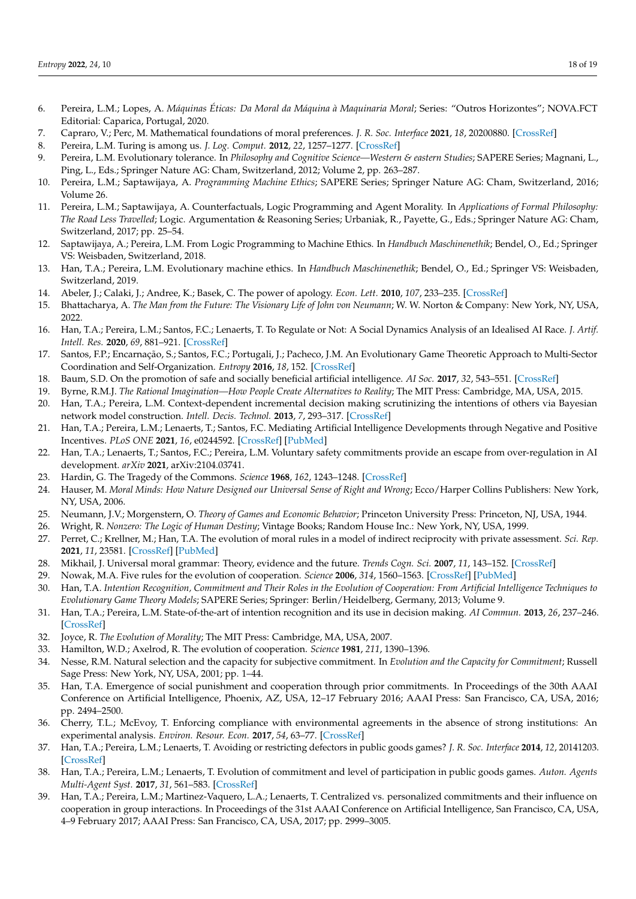- <span id="page-17-0"></span>6. Pereira, L.M.; Lopes, A. *Máquinas Éticas: Da Moral da Máquina à Maquinaria Moral*; Series: "Outros Horizontes"; NOVA.FCT Editorial: Caparica, Portugal, 2020.
- <span id="page-17-1"></span>7. Capraro, V.; Perc, M. Mathematical foundations of moral preferences. *J. R. Soc. Interface* **2021**, *18*, 20200880. [\[CrossRef\]](http://doi.org/10.1098/rsif.2020.0880)
- <span id="page-17-2"></span>8. Pereira, L.M. Turing is among us. *J. Log. Comput.* **2012**, *22*, 1257–1277. [\[CrossRef\]](http://doi.org/10.1093/logcom/exs035)
- <span id="page-17-3"></span>9. Pereira, L.M. Evolutionary tolerance. In *Philosophy and Cognitive Science*—Western & eastern Studies; SAPERE Series; Magnani, L., Ping, L., Eds.; Springer Nature AG: Cham, Switzerland, 2012; Volume 2, pp. 263–287.
- <span id="page-17-4"></span>10. Pereira, L.M.; Saptawijaya, A. *Programming Machine Ethics*; SAPERE Series; Springer Nature AG: Cham, Switzerland, 2016; Volume 26.
- <span id="page-17-30"></span>11. Pereira, L.M.; Saptawijaya, A. Counterfactuals, Logic Programming and Agent Morality. In *Applications of Formal Philosophy: The Road Less Travelled*; Logic. Argumentation & Reasoning Series; Urbaniak, R., Payette, G., Eds.; Springer Nature AG: Cham, Switzerland, 2017; pp. 25–54.
- <span id="page-17-5"></span>12. Saptawijaya, A.; Pereira, L.M. From Logic Programming to Machine Ethics. In *Handbuch Maschinenethik*; Bendel, O., Ed.; Springer VS: Weisbaden, Switzerland, 2018.
- <span id="page-17-6"></span>13. Han, T.A.; Pereira, L.M. Evolutionary machine ethics. In *Handbuch Maschinenethik*; Bendel, O., Ed.; Springer VS: Weisbaden, Switzerland, 2019.
- <span id="page-17-7"></span>14. Abeler, J.; Calaki, J.; Andree, K.; Basek, C. The power of apology. *Econ. Lett.* **2010**, *107*, 233–235. [\[CrossRef\]](http://doi.org/10.1016/j.econlet.2010.01.033)
- <span id="page-17-10"></span>15. Bhattacharya, A. *The Man from the Future: The Visionary Life of John von Neumann*; W. W. Norton & Company: New York, NY, USA, 2022.
- <span id="page-17-8"></span>16. Han, T.A.; Pereira, L.M.; Santos, F.C.; Lenaerts, T. To Regulate or Not: A Social Dynamics Analysis of an Idealised AI Race. *J. Artif. Intell. Res.* **2020**, *69*, 881–921. [\[CrossRef\]](http://doi.org/10.1613/jair.1.12225)
- <span id="page-17-9"></span>17. Santos, F.P.; Encarnação, S.; Santos, F.C.; Portugali, J.; Pacheco, J.M. An Evolutionary Game Theoretic Approach to Multi-Sector Coordination and Self-Organization. *Entropy* **2016**, *18*, 152. [\[CrossRef\]](http://doi.org/10.3390/e18040152)
- <span id="page-17-11"></span>18. Baum, S.D. On the promotion of safe and socially beneficial artificial intelligence. *AI Soc.* **2017**, *32*, 543–551. [\[CrossRef\]](http://doi.org/10.1007/s00146-016-0677-0)
- <span id="page-17-12"></span>19. Byrne, R.M.J. *The Rational Imagination—How People Create Alternatives to Reality*; The MIT Press: Cambridge, MA, USA, 2015.
- 20. Han, T.A.; Pereira, L.M. Context-dependent incremental decision making scrutinizing the intentions of others via Bayesian network model construction. *Intell. Decis. Technol.* **2013**, *7*, 293–317. [\[CrossRef\]](http://doi.org/10.3233/IDT-130170)
- <span id="page-17-31"></span>21. Han, T.A.; Pereira, L.M.; Lenaerts, T.; Santos, F.C. Mediating Artificial Intelligence Developments through Negative and Positive Incentives. *PLoS ONE* **2021**, *16*, e0244592. [\[CrossRef\]](http://doi.org/10.1371/journal.pone.0244592) [\[PubMed\]](http://www.ncbi.nlm.nih.gov/pubmed/33497424)
- <span id="page-17-32"></span>22. Han, T.A.; Lenaerts, T.; Santos, F.C.; Pereira, L.M. Voluntary safety commitments provide an escape from over-regulation in AI development. *arXiv* **2021**, arXiv:2104.03741.
- <span id="page-17-13"></span>23. Hardin, G. The Tragedy of the Commons. *Science* **1968**, *162*, 1243–1248. [\[CrossRef\]](http://doi.org/10.1126/science.162.3859.1243)
- <span id="page-17-14"></span>24. Hauser, M. *Moral Minds: How Nature Designed our Universal Sense of Right and Wrong*; Ecco/Harper Collins Publishers: New York, NY, USA, 2006.
- <span id="page-17-15"></span>25. Neumann, J.V.; Morgenstern, O. *Theory of Games and Economic Behavior*; Princeton University Press: Princeton, NJ, USA, 1944.
- <span id="page-17-16"></span>26. Wright, R. *Nonzero: The Logic of Human Destiny*; Vintage Books; Random House Inc.: New York, NY, USA, 1999.
- <span id="page-17-17"></span>27. Perret, C.; Krellner, M.; Han, T.A. The evolution of moral rules in a model of indirect reciprocity with private assessment. *Sci. Rep.* **2021**, *11*, 23581. [\[CrossRef\]](http://doi.org/10.1038/s41598-021-02677-2) [\[PubMed\]](http://www.ncbi.nlm.nih.gov/pubmed/34880264)
- <span id="page-17-18"></span>28. Mikhail, J. Universal moral grammar: Theory, evidence and the future. *Trends Cogn. Sci.* **2007**, *11*, 143–152. [\[CrossRef\]](http://doi.org/10.1016/j.tics.2006.12.007)
- <span id="page-17-19"></span>29. Nowak, M.A. Five rules for the evolution of cooperation. *Science* **2006**, *314*, 1560–1563. [\[CrossRef\]](http://doi.org/10.1126/science.1133755) [\[PubMed\]](http://www.ncbi.nlm.nih.gov/pubmed/17158317)
- <span id="page-17-20"></span>30. Han, T.A. *Intention Recognition, Commitment and Their Roles in the Evolution of Cooperation: From Artificial Intelligence Techniques to Evolutionary Game Theory Models*; SAPERE Series; Springer: Berlin/Heidelberg, Germany, 2013; Volume 9.
- <span id="page-17-29"></span>31. Han, T.A.; Pereira, L.M. State-of-the-art of intention recognition and its use in decision making. *AI Commun.* **2013**, *26*, 237–246. [\[CrossRef\]](http://doi.org/10.3233/AIC-130559)
- <span id="page-17-21"></span>32. Joyce, R. *The Evolution of Morality*; The MIT Press: Cambridge, MA, USA, 2007.
- <span id="page-17-22"></span>33. Hamilton, W.D.; Axelrod, R. The evolution of cooperation. *Science* **1981**, *211*, 1390–1396.
- <span id="page-17-23"></span>34. Nesse, R.M. Natural selection and the capacity for subjective commitment. In *Evolution and the Capacity for Commitment*; Russell Sage Press: New York, NY, USA, 2001; pp. 1–44.
- <span id="page-17-24"></span>35. Han, T.A. Emergence of social punishment and cooperation through prior commitments. In Proceedings of the 30th AAAI Conference on Artificial Intelligence, Phoenix, AZ, USA, 12–17 February 2016; AAAI Press: San Francisco, CA, USA, 2016; pp. 2494–2500.
- <span id="page-17-25"></span>36. Cherry, T.L.; McEvoy, T. Enforcing compliance with environmental agreements in the absence of strong institutions: An experimental analysis. *Environ. Resour. Econ.* **2017**, *54*, 63–77. [\[CrossRef\]](http://doi.org/10.1007/s10640-012-9581-3)
- <span id="page-17-26"></span>37. Han, T.A.; Pereira, L.M.; Lenaerts, T. Avoiding or restricting defectors in public goods games? *J. R. Soc. Interface* **2014**, *12*, 20141203. [\[CrossRef\]](http://doi.org/10.1098/rsif.2014.1203)
- <span id="page-17-27"></span>38. Han, T.A.; Pereira, L.M.; Lenaerts, T. Evolution of commitment and level of participation in public goods games. *Auton. Agents Multi-Agent Syst.* **2017**, *31*, 561–583. [\[CrossRef\]](http://doi.org/10.1007/s10458-016-9338-4)
- <span id="page-17-28"></span>39. Han, T.A.; Pereira, L.M.; Martinez-Vaquero, L.A.; Lenaerts, T. Centralized vs. personalized commitments and their influence on cooperation in group interactions. In Proceedings of the 31st AAAI Conference on Artificial Intelligence, San Francisco, CA, USA, 4–9 February 2017; AAAI Press: San Francisco, CA, USA, 2017; pp. 2999–3005.